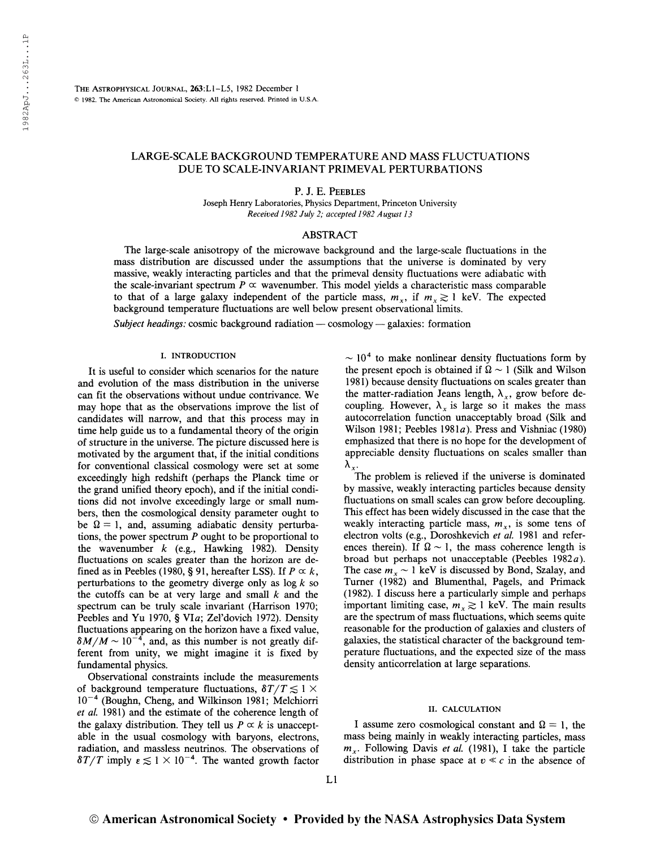The Astrophysical Journal, 263:L1-L5, 1982 December <sup>1</sup> © 1982. The American Astronomical Society. All rights reserved. Printed in U.S.A.

# LARGE-SCALE BACKGROUND TEMPERATURE AND MASS FLUCTUATIONS DUE TO SCALE-INVARIANT PRIMEVAL PERTURBATIONS

P. J. E. Peebles

Joseph Henry Laboratories, Physics Department, Princeton University Received 1982 July 2; accepted 1982 August 13

## ABSTRACT

The large-scale anisotropy of the microwave background and the large-scale fluctuations in the mass distribution are discussed under the assumptions that the universe is dominated by very massive, weakly interacting particles and that the primeval density fluctuations were adiabatic with the scale-invariant spectrum  $P \propto$  wavenumber. This model yields a characteristic mass comparable to that of a large galaxy independent of the particle mass,  $m_x$ , if  $m_x \ge 1$  keV. The expected background temperature fluctuations are well below present observational limits.

Subject headings: cosmic background radiation — cosmology — galaxies: formation

#### I. INTRODUCTION

It is useful to consider which scenarios for the nature and evolution of the mass distribution in the universe can fit the observations without undue contrivance. We may hope that as the observations improve the list of candidates will narrow, and that this process may in time help guide us to a fundamental theory of the origin of structure in the universe. The picture discussed here is motivated by the argument that, if the initial conditions for conventional classical cosmology were set at some exceedingly high redshift (perhaps the Planck time or the grand unified theory epoch), and if the initial conditions did not involve exceedingly large or small numbers, then the cosmological density parameter ought to be  $\Omega = 1$ , and, assuming adiabatic density perturbations, the power spectrum  $P$  ought to be proportional to the wavenumber  $k$  (e.g., Hawking 1982). Density fluctuations on scales greater than the horizon are defined as in Peebles (1980, § 91, hereafter LSS). If  $P \propto k$ , perturbations to the geometry diverge only as  $\log k$  so the cutoffs can be at very large and small  $k$  and the spectrum can be truly scale invariant (Harrison 1970; Peebles and Yu 1970, § VIa; Zel'dovich 1972). Density fluctuations appearing on the horizon have a fixed value, fluctuations appearing on the horizon have a fixed value,  $\delta M/M \sim 10^{-4}$ , and, as this number is not greatly different from unity, we might imagine it is fixed by fundamental physics.

Observational constraints include the measurements of background temperature fluctuations,  $\delta T/T \lesssim 1 \times$ 10"<sup>4</sup> (Boughn, Cheng, and Wilkinson 1981; Melchiorri et al. 1981) and the estimate of the coherence length of the galaxy distribution. They tell us  $P \propto k$  is unacceptable in the usual cosmology with baryons, electrons, radiation, and massless neutrinos. The observations of  $\delta T/T$  imply  $\epsilon \lesssim 1 \times 10^{-4}$ . The wanted growth factor

 $\sim$  10<sup>4</sup> to make nonlinear density fluctuations form by the present epoch is obtained if  $\Omega \sim 1$  (Silk and Wilson 1981) because density fluctuations on scales greater than the matter-radiation Jeans length,  $\lambda_x$ , grow before decoupling. However,  $\lambda_x$  is large so it makes the mass autocorrelation function unacceptably broad (Silk and Wilson 1981; Peebles 1981a). Press and Vishniac (1980) emphasized that there is no hope for the development of appreciable density fluctuations on scales smaller than  $\lambda_x$ .

The problem is relieved if the universe is dominated by massive, weakly interacting particles because density fluctuations on small scales can grow before decoupling. This effect has been widely discussed in the case that the weakly interacting particle mass,  $m<sub>x</sub>$ , is some tens of electron volts (e.g., Doroshkevich et al. 1981 and references therein). If  $\Omega \sim 1$ , the mass coherence length is broad but perhaps not unacceptable (Peebles  $1982a$ ). The case  $m<sub>x</sub> \sim 1$  keV is discussed by Bond, Szalay, and Turner (1982) and Blumenthal, Pagels, and Primack (1982). I discuss here a particularly simple and perhaps important limiting case,  $m_x \gtrsim 1$  keV. The main results are the spectrum of mass fluctuations, which seems quite reasonable for the production of galaxies and clusters of galaxies, the statistical character of the background temperature fluctuations, and the expected size of the mass density anticorrelation at large separations.

#### II. CALCULATION

I assume zero cosmological constant and  $\Omega = 1$ , the mass being mainly in weakly interacting particles, mass  $m<sub>x</sub>$ . Following Davis et al. (1981), I take the particle distribution in phase space at  $v \ll c$  in the absence of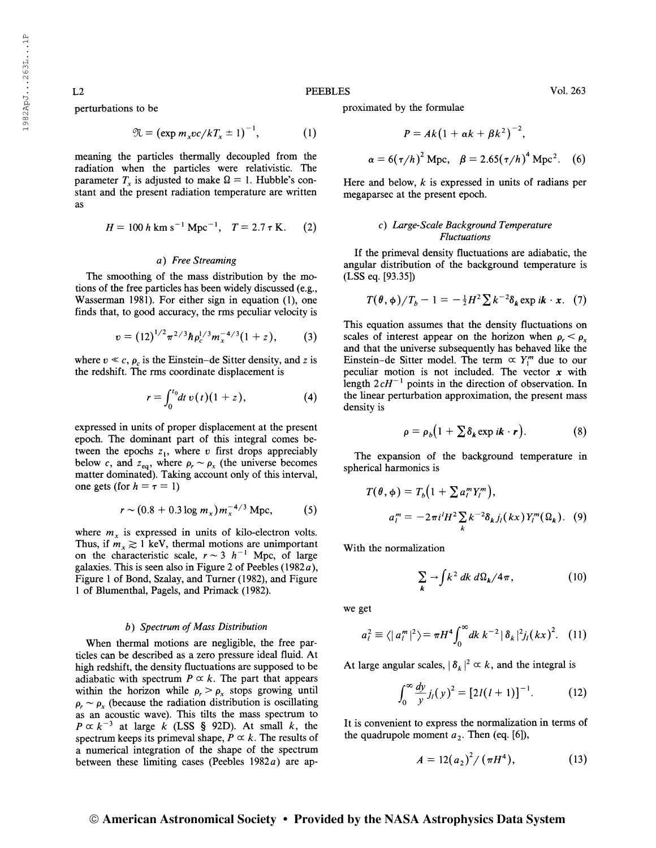L2

perturbations to be

$$
\mathfrak{N} = \left(\exp m_x v c / k T_x \pm 1\right)^{-1},\tag{1}
$$

meaning the particles thermally decoupled from the radiation when the particles were relativistic. The parameter  $T<sub>x</sub>$  is adjusted to make  $\Omega = 1$ . Hubble's constant and the present radiation temperature are written as

$$
H = 100 h \text{ km s}^{-1} \text{ Mpc}^{-1}, \quad T = 2.7 \text{ T K}. \tag{2}
$$

## a) Free Streaming

The smoothing of the mass distribution by the motions of the free particles has been widely discussed (e.g., Wasserman 1981). For either sign in equation (1), one

finds that, to good accuracy, the rms peculiar velocity is  
\n
$$
v = (12)^{1/2} \pi^{2/3} \hbar \rho_c^{1/3} m_x^{-4/3} (1+z), \qquad (3)
$$

where  $v \ll c$ ,  $\rho_c$  is the Einstein-de Sitter density, and z is the redshift. The rms coordinate displacement is

$$
r = \int_0^{t_0} dt \, v(t) (1+z), \tag{4}
$$

expressed in units of proper displacement at the present epoch. The dominant part of this integral comes between the epochs  $z_1$ , where v first drops appreciably below c, and  $z_{eq}$ , where  $\rho_r \sim \rho_x$  (the universe becomes matter dominated). Taking account only of this interval, one gets (for  $h = \tau = 1$ )

$$
r \sim (0.8 + 0.3 \log m_x) m_x^{-4/3} \, \text{Mpc}, \tag{5}
$$

where  $m<sub>x</sub>$  is expressed in units of kilo-electron volts. Thus, if  $m_x \gtrsim 1$  keV, thermal motions are unimportant on the characteristic scale,  $r \sim 3$  h<sup>-1</sup> Mpc, of large galaxies. This is seen also in Figure 2 of Peebles (1982 $a$ ), Figure <sup>1</sup> of Bond, Szalay, and Turner (1982), and Figure <sup>1</sup> of Blumenthal, Pagels, and Primack (1982).

## b) Spectrum of Mass Distribution

When thermal motions are negligible, the free particles can be described as a zero pressure ideal fluid. At high redshift, the density fluctuations are supposed to be adiabatic with spectrum  $P \propto k$ . The part that appears within the horizon while  $\rho_r > \rho_x$  stops growing until  $\rho_r \sim \rho_r$  (because the radiation distribution is oscillating as an acoustic wave). This tilts the mass spectrum to  $P \propto k^{-3}$  at large k (LSS § 92D). At small k, the spectrum keeps its primeval shape,  $P \propto k$ . The results of a numerical integration of the shape of the spectrum between these limiting cases (Peebles  $1982a$ ) are approximated by the formulae

$$
P = Ak(1 + \alpha k + \beta k^{2})^{-2},
$$
  

$$
\alpha = 6(\tau/h)^{2} \text{ Mpc}, \quad \beta = 2.65(\tau/h)^{4} \text{ Mpc}^{2}. \quad (6)
$$

Here and below,  $k$  is expressed in units of radians per megaparsec at the present epoch.

## c) Large-Scale Background Temperature Fluctuations

If the primeval density fluctuations are adiabatic, the angular distribution of the background temperature is (LSS eq. [93.35])

$$
T(\theta, \phi)/T_b - 1 = -\frac{1}{2}H^2 \sum k^{-2} \delta_k \exp i\mathbf{k} \cdot \mathbf{x}.
$$
 (7)

This equation assumes that the density fluctuations on scales of interest appear on the horizon when  $\rho_r < \rho_x$ and that the universe subsequently has behaved like the Einstein-de Sitter model. The term  $\alpha$  Y<sub>I</sub><sup>m</sup> due to our peculiar motion is not included. The vector  $x$  with length  $2cH^{-1}$  points in the direction of observation. In the linear perturbation approximation, the present mass density is

$$
\rho = \rho_b \big( 1 + \sum \delta_k \exp i\mathbf{k} \cdot \mathbf{r} \big). \tag{8}
$$

The expansion of the background temperature in spherical harmonics is

$$
T(\theta, \phi) = T_b \Big( 1 + \sum a_i^m Y_i^m \Big),
$$
  
\n
$$
a_i^m = -2\pi i^l H^2 \sum_k k^{-2} \delta_k j_l(kx) Y_l^m(\Omega_k).
$$
 (9)

With the normalization

$$
\sum_{k} \rightarrow \int k^{2} dk \, d\Omega_{k} / 4\pi, \qquad (10)
$$

we get

$$
a_l^2 \equiv \langle |a_l^m|^2 \rangle = \pi H^4 \int_0^\infty dk \ k^{-2} |\delta_k|^2 j_l (kx)^2. \quad (11)
$$

At large angular scales,  $|\delta_k|^2 \propto k$ , and the integral is

$$
\int_0^\infty \frac{dy}{y} j_l(y)^2 = [2l(l+1)]^{-1}.\tag{12}
$$

It is convenient to express the normalization in terms of the quadrupole moment  $a_2$ . Then (eq. [6]),

$$
A = 12(a_2)^2 / (\pi H^4), \tag{13}
$$

# © American Astronomical Society • Provided by the NASA Astrophysics Data System

PEEBLES Vol. 263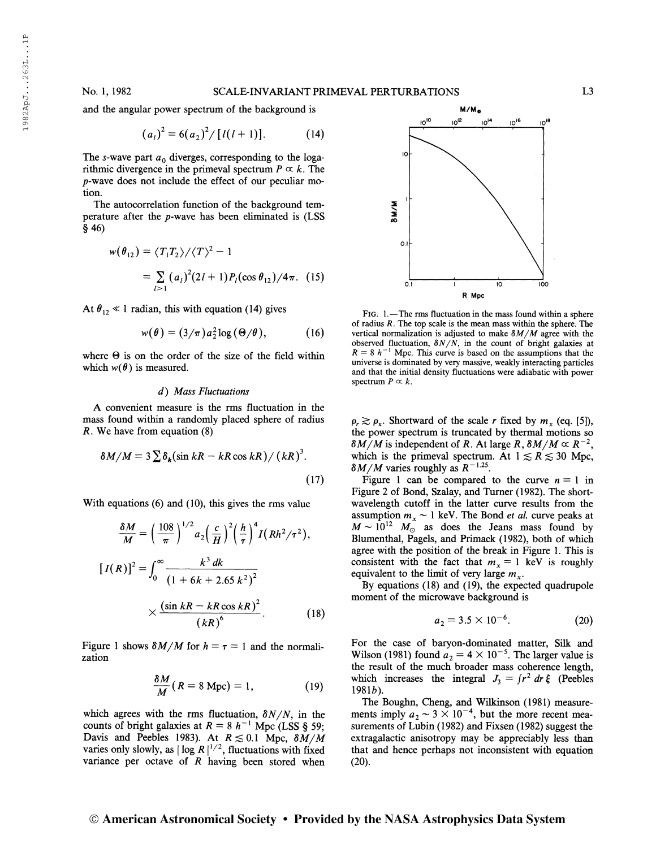and the angular power spectrum of the background is

$$
(a_l)^2 = 6(a_2)^2 / [l(l+1)].
$$
 (14)

The s-wave part  $a_0$  diverges, corresponding to the logarithmic divergence in the primeval spectrum  $P \propto k$ . The p-wave does not include the effect of our peculiar motion.

The autocorrelation function of the background temperature after the  $p$ -wave has been eliminated is (LSS §46)

$$
w(\theta_{12}) = \langle T_1 T_2 \rangle / \langle T \rangle^2 - 1
$$
  
=  $\sum_{l>1} (a_l)^2 (2l+1) P_l(\cos \theta_{12}) / 4\pi$ . (15)

At  $\theta_{12} \ll 1$  radian, this with equation (14) gives

$$
w(\theta) = (3/\pi) a_2^2 \log (\Theta/\theta), \qquad (16)
$$

where  $\Theta$  is on the order of the size of the field within which  $w(\theta)$  is measured.

## d) Mass Fluctuations

A convenient measure is the rms fluctuation in the mass found within a randomly placed sphere of radius R. We have from equation (8)

$$
\delta M/M = 3 \sum \delta_k (\sin kR - kR \cos kR) / (kR)^3.
$$
 (17)

With equations (6) and (10), this gives the rms value

$$
\frac{\delta M}{M} = \left(\frac{108}{\pi}\right)^{1/2} a_2 \left(\frac{c}{H}\right)^2 \left(\frac{h}{\tau}\right)^4 I (Rh^2/\tau^2),
$$
  
\n
$$
[I(R)]^2 = \int_0^\infty \frac{k^3 dk}{\left(1 + 6k + 2.65 k^2\right)^2}
$$
  
\n
$$
\times \frac{\left(\sin kR - kR \cos kR\right)^2}{\left(kR\right)^6}.
$$
 (18)

Figure 1 shows  $\delta M/M$  for  $h = \tau = 1$  and the normalization

$$
\frac{\delta M}{M}(R=8 \text{ Mpc})=1, \qquad (19)
$$

which agrees with the rms fluctuation,  $\delta N/N$ , in the counts of bright galaxies at  $R = 8 h^{-1}$  Mpc (LSS § 59; Davis and Peebles 1983). At  $R \lesssim 0.1$  Mpc,  $\delta M/M$ Davis and Peebles 1983). At  $R \lesssim 0.1$  Mpc,  $\delta M/M$ <br>varies only slowly, as  $|\log R|^{1/2}$ , fluctuations with fixed variance per octave of R having been stored when



Fig. 1.—The rms fluctuation in the mass found within a sphere of radius  $R$ . The top scale is the mean mass within the sphere. The vertical normalization is adjusted to make  $\delta M/M$  agree with the observed fluctuation,  $\delta N/N$ , in the count of bright galaxies at  $R = 8 h^{-1}$  Mpc. This curve is based on the assumptions that the universe is dominated by very massive, weakly interacting particles and that the initial density fluctuations were adiabatic with power spectrum  $P \propto k$ .

 $\rho_r \gtrsim \rho_x$ . Shortward of the scale r fixed by  $m_x$  (eq. [5]), the power spectrum is truncated by thermal motions so  $\delta M/M$  is independent of R. At large R,  $\delta M/M \propto R^{-2}$ , which is the primeval spectrum. At  $1 \le R \le 30$  Mpc,  $\delta M/M$  varies roughly as  $R^{-1.25}$ .

Figure 1 can be compared to the curve  $n = 1$  in Figure 2 of Bond, Szalay, and Turner (1982). The shortwavelength cutoff in the latter curve results from the assumption  $m_x \sim 1$  keV. The Bond *et al.* curve peaks at  $M \sim 10^{12}$   $M_{\odot}$  as does the Jeans mass found by Blumenthal, Pagels, and Primack (1982), both of which agree with the position of the break in Figure 1. This is consistent with the fact that  $m<sub>x</sub> = 1$  keV is roughly equivalent to the limit of very large  $m<sub>x</sub>$ .

By equations (18) and (19), the expected quadrupole moment of the microwave background is

$$
a_2 = 3.5 \times 10^{-6}.\tag{20}
$$

For the case of baryon-dominated matter, Silk and Wilson (1981) found  $a_2 = 4 \times 10^{-5}$ . The larger value is the result of the much broader mass coherence length, which increases the integral  $J_3 = \int r^2 dr \xi$  (Peebles  $1981b$ ).

The Boughn, Cheng, and Wilkinson (1981) measure-The Boughn, Cheng, and Wilkinson (1981) measurements imply  $a_2 \sim 3 \times 10^{-4}$ , but the more recent measurements of Lubin (1982) and Fixsen (1982) suggest the extragalactic anisotropy may be appreciably less than that and hence perhaps not inconsistent with equation (20).

## © American Astronomical Society • Provided by the NASA Astrophysics Data System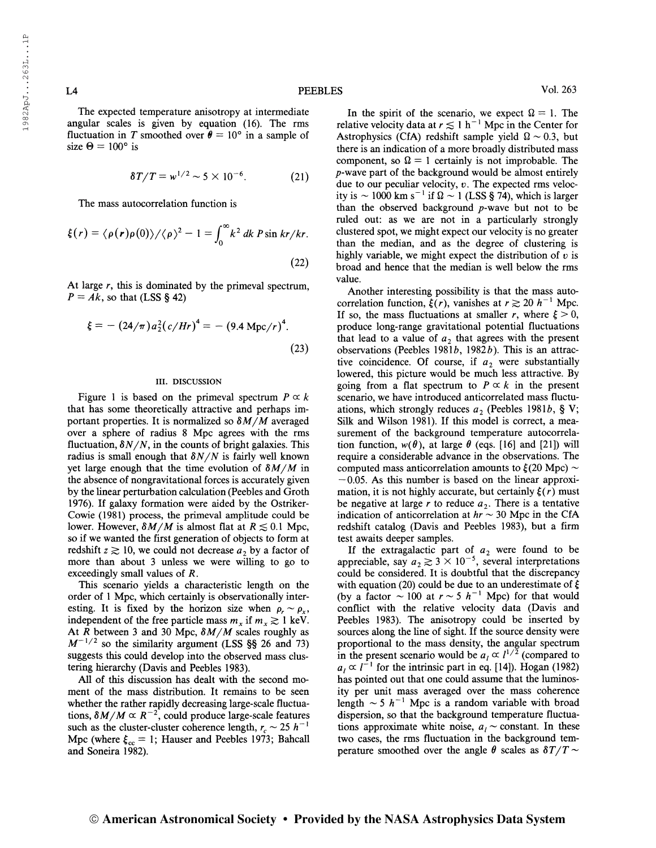The expected temperature anisotropy at intermediate angular scales is given by equation (16). The rms fluctuation in T smoothed over  $\theta = 10^{\circ}$  in a sample of size  $\Theta = 100^{\circ}$  is

$$
\delta T/T = w^{1/2} \sim 5 \times 10^{-6}.
$$
 (21)

The mass autocorrelation function is

$$
\xi(r) = \langle \rho(r)\rho(0) \rangle / \langle \rho \rangle^2 - 1 = \int_0^\infty k^2 \, dk \, P \sin kr / kr.
$$
\n(22)

At large  $r$ , this is dominated by the primeval spectrum,  $P = Ak$ , so that (LSS § 42)

$$
\xi = - (24/\pi) a_2^2 (c/Hr)^4 = - (9.4 \text{ Mpc}/r)^4. \tag{23}
$$

#### III. DISCUSSION

Figure 1 is based on the primeval spectrum  $P \propto k$ that has some theoretically attractive and perhaps important properties. It is normalized so  $\delta M/M$  averaged over a sphere of radius 8 Mpc agrees with the rms fluctuation,  $\delta N/N$ , in the counts of bright galaxies. This radius is small enough that  $\delta N/N$  is fairly well known yet large enough that the time evolution of  $\delta M/M$  in the absence of nongravitational forces is accurately given by the linear perturbation calculation (Peebles and Groth 1976). If galaxy formation were aided by the Ostriker-Cowie (1981) process, the primeval amplitude could be lower. However,  $\delta M/M$  is almost flat at  $R \lesssim 0.1$  Mpc, so if we wanted the first generation of objects to form at redshift  $z \gtrsim 10$ , we could not decrease  $a_2$  by a factor of more than about 3 unless we were willing to go to exceedingly small values of R.

This scenario yields a characteristic length on the order of <sup>1</sup> Mpc, which certainly is observationally interesting. It is fixed by the horizon size when  $\rho_r \sim \rho_x$ , independent of the free particle mass  $m_x$  if  $m_x \gtrsim 1$  keV. At  $\overline{R}$  between 3 and 30 Mpc,  $\delta M/M$  scales roughly as At R between 3 and 30 Mpc,  $\delta M/M$  scales roughly as  $M^{-1/2}$  so the similarity argument (LSS §§ 26 and 73) suggests this could develop into the observed mass clustering hierarchy (Davis and Peebles 1983).

All of this discussion has dealt with the second moment of the mass distribution. It remains to be seen whether the rather rapidly decreasing large-scale fluctuations,  $\delta M/M \propto R^{-2}$ , could produce large-scale features such as the cluster-cluster coherence length,  $r_c \sim 25$   $h^{-1}$ Mpc (where  $\xi_{cc} = 1$ ; Hauser and Peebles 1973; Bahcall and Soneira 1982).

In the spirit of the scenario, we expect  $\Omega = 1$ . The relative velocity data at  $r \lesssim 1 \text{ h}^{-1}$  Mpc in the Center for Astrophysics (CfA) redshift sample yield  $\Omega \sim 0.3$ , but there is an indication of a more broadly distributed mass component, so  $\Omega = 1$  certainly is not improbable. The p-wave part of the background would be almost entirely due to our peculiar velocity,  $v$ . The expected rms velocity is  $\sim 1000$  km s<sup>-1</sup> if  $\Omega \sim 1$  (LSS § 74), which is larger than the observed background  $p$ -wave but not to be ruled out: as we are not in a particularly strongly clustered spot, we might expect our velocity is no greater than the median, and as the degree of clustering is highly variable, we might expect the distribution of  $v$  is broad and hence that the median is well below the rms value.

Another interesting possibility is that the mass auto-Another interesting possibility is that the mass auto-<br>correlation function,  $\xi(r)$ , vanishes at  $r \gtrsim 20 h^{-1}$  Mpc. If so, the mass fluctuations at smaller r, where  $\xi > 0$ , produce long-range gravitational potential fluctuations that lead to a value of  $a_2$  that agrees with the present observations (Peebles 1981b, 1982b). This is an attractive coincidence. Of course, if  $a_2$  were substantially lowered, this picture would be much less attractive. By going from a flat spectrum to  $P \propto k$  in the present scenario, we have introduced anticorrelated mass fluctuations, which strongly reduces  $a_2$  (Peebles 1981b, § V; Silk and Wilson 1981). If this model is correct, a measurement of the background temperature autocorrelation function,  $w(\theta)$ , at large  $\theta$  (eqs. [16] and [21]) will require a considerable advance in the observations. The computed mass anticorrelation amounts to  $\xi$ (20 Mpc) ~  $-0.05$ . As this number is based on the linear approximation, it is not highly accurate, but certainly  $\xi(r)$  must be negative at large r to reduce  $a_2$ . There is a tentative indication of anticorrelation at  $hr \sim 30$  Mpc in the CfA redshift catalog (Davis and Peebles 1983), but a firm test awaits deeper samples.

If the extragalactic part of  $a_2$  were found to be appreciable, say  $a_2 \gtrsim 3 \times 10^{-5}$ , several interpretations could be considered. It is doubtful that the discrepancy with equation (20) could be due to an underestimate of  $\xi$ (by a factor  $\sim 100$  at  $r \sim 5$  h<sup>-1</sup> Mpc) for that would conflict with the relative velocity data (Davis and Peebles 1983). The anisotropy could be inserted by sources along the line of sight. If the source density were proportional to the mass density, the angular spectrum in the present scenario would be  $a_1 \propto l^{1/2}$  (compared to in the p<br> $a_i \propto l^{-}$ <sup>1</sup> for the intrinsic part in eq. [14]). Hogan (1982) has pointed out that one could assume that the luminosity per unit mass averaged over the mass coherence length  $\sim$  5 h<sup>-1</sup> Mpc is a random variable with broad dispersion, so that the background temperature fluctuations approximate white noise,  $a_i \sim$  constant. In these two cases, the rms fluctuation in the background temperature smoothed over the angle  $\theta$  scales as  $\delta T/T \sim$